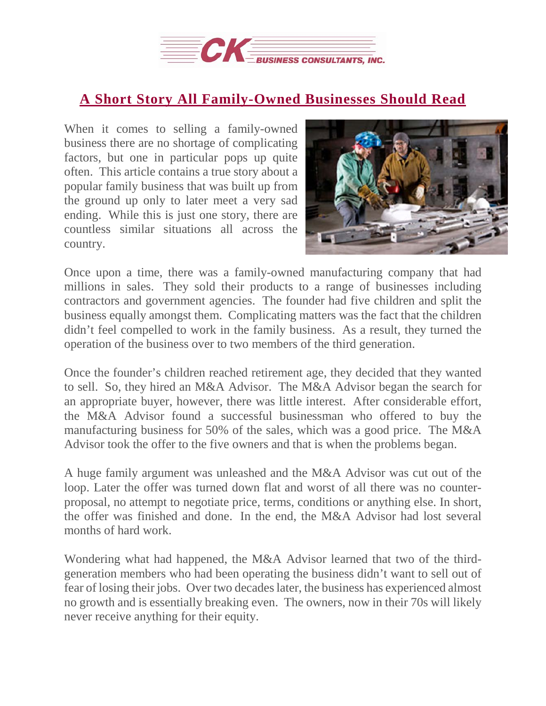

## **A Short Story All [Family-Owned](https://deal-studio.com/short-story-family-owned-businesses-read/) Businesses Should Read**

When it comes to selling a family-owned business there are no shortage of complicating factors, but one in particular pops up quite often. This article contains a true story about a popular family business that was built up from the ground up only to later meet a very sad ending. While this is just one story, there are countless similar situations all across the country.



Once upon a time, there was a family-owned manufacturing company that had millions in sales. They sold their products to a range of businesses including contractors and government agencies. The founder had five children and split the business equally amongst them. Complicating matters was the fact that the children didn't feel compelled to work in the family business. As a result, they turned the operation of the business over to two members of the third generation.

Once the founder's children reached retirement age, they decided that they wanted to sell. So, they hired an M&A Advisor. The M&A Advisor began the search for an appropriate buyer, however, there was little interest. After considerable effort, the M&A Advisor found a successful businessman who offered to buy the manufacturing business for 50% of the sales, which was a good price. The M&A Advisor took the offer to the five owners and that is when the problems began.

A huge family argument was unleashed and the M&A Advisor was cut out of the loop. Later the offer was turned down flat and worst of all there was no counterproposal, no attempt to negotiate price, terms, conditions or anything else. In short, the offer was finished and done. In the end, the M&A Advisor had lost several months of hard work.

Wondering what had happened, the M&A Advisor learned that two of the thirdgeneration members who had been operating the business didn't want to sell out of fear of losing their jobs. Over two decadeslater, the business has experienced almost no growth and is essentially breaking even. The owners, now in their 70s will likely never receive anything for their equity.